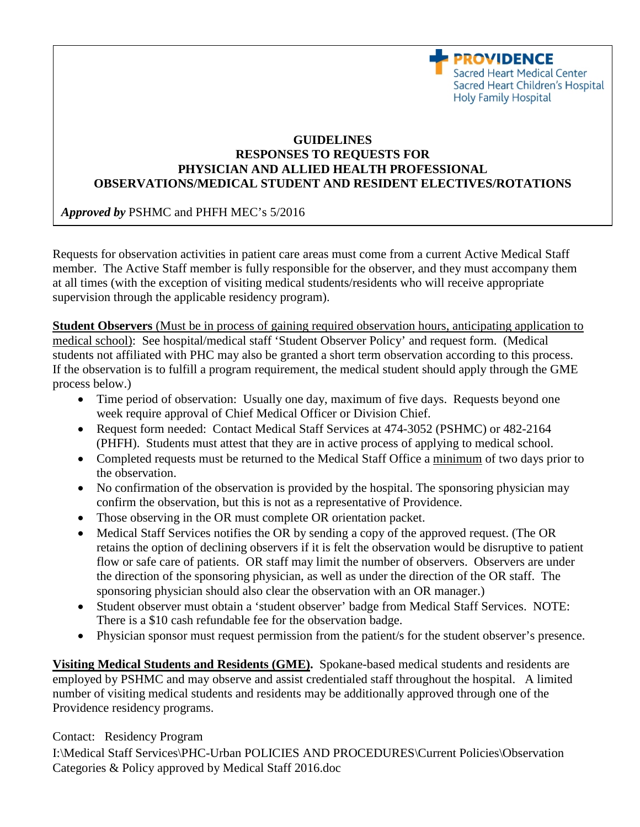

## PHYSICIAN AND ALLIED HEALTH PROFESSIONAL **OBSERVATIONS/MEDICAL STUDENT AND RESIDENT ELECTIVES/ROTATIONS GUIDELINES RESPONSES TO REQUESTS FOR**

*Approved by* PSHMC and PHFH MEC's 5/2016

Requests for observation activities in patient care areas must come from a current Active Medical Staff member. The Active Staff member is fully responsible for the observer, and they must accompany them at all times (with the exception of visiting medical students/residents who will receive appropriate supervision through the applicable residency program).

**Student Observers** (Must be in process of gaining required observation hours, anticipating application to medical school): See hospital/medical staff 'Student Observer Policy' and request form. (Medical students not affiliated with PHC may also be granted a short term observation according to this process. If the observation is to fulfill a program requirement, the medical student should apply through the GME process below.)

- Time period of observation: Usually one day, maximum of five days. Requests beyond one week require approval of Chief Medical Officer or Division Chief.
- Request form needed: Contact Medical Staff Services at 474-3052 (PSHMC) or 482-2164 (PHFH). Students must attest that they are in active process of applying to medical school.
- Completed requests must be returned to the Medical Staff Office a minimum of two days prior to the observation.
- No confirmation of the observation is provided by the hospital. The sponsoring physician may confirm the observation, but this is not as a representative of Providence.
- Those observing in the OR must complete OR orientation packet.
- Medical Staff Services notifies the OR by sending a copy of the approved request. (The OR retains the option of declining observers if it is felt the observation would be disruptive to patient flow or safe care of patients. OR staff may limit the number of observers. Observers are under the direction of the sponsoring physician, as well as under the direction of the OR staff. The sponsoring physician should also clear the observation with an OR manager.)
- Student observer must obtain a 'student observer' badge from Medical Staff Services. NOTE: There is a \$10 cash refundable fee for the observation badge.
- Physician sponsor must request permission from the patient/s for the student observer's presence.

**Visiting Medical Students and Residents (GME).** Spokane-based medical students and residents are employed by PSHMC and may observe and assist credentialed staff throughout the hospital. A limited number of visiting medical students and residents may be additionally approved through one of the Providence residency programs.

Contact: Residency Program

I:\Medical Staff Services\PHC-Urban POLICIES AND PROCEDURES\Current Policies\Observation Categories & Policy approved by Medical Staff 2016.doc